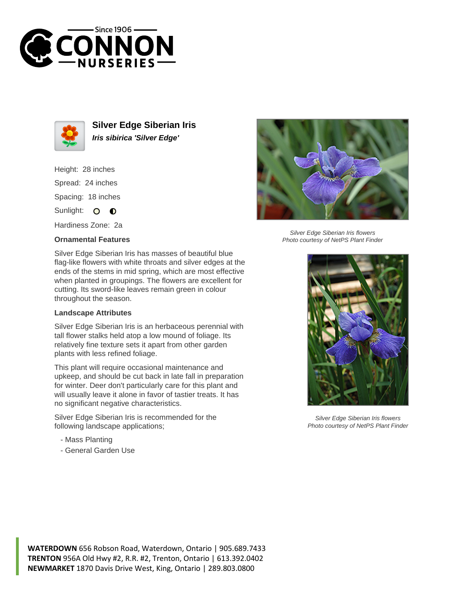



**Silver Edge Siberian Iris Iris sibirica 'Silver Edge'**

Height: 28 inches Spread: 24 inches Spacing: 18 inches Sunlight: O **O** 

Hardiness Zone: 2a

## **Ornamental Features**

Silver Edge Siberian Iris has masses of beautiful blue flag-like flowers with white throats and silver edges at the ends of the stems in mid spring, which are most effective when planted in groupings. The flowers are excellent for cutting. Its sword-like leaves remain green in colour throughout the season.

## **Landscape Attributes**

Silver Edge Siberian Iris is an herbaceous perennial with tall flower stalks held atop a low mound of foliage. Its relatively fine texture sets it apart from other garden plants with less refined foliage.

This plant will require occasional maintenance and upkeep, and should be cut back in late fall in preparation for winter. Deer don't particularly care for this plant and will usually leave it alone in favor of tastier treats. It has no significant negative characteristics.

Silver Edge Siberian Iris is recommended for the following landscape applications;

- Mass Planting
- General Garden Use



Silver Edge Siberian Iris flowers Photo courtesy of NetPS Plant Finder



Silver Edge Siberian Iris flowers Photo courtesy of NetPS Plant Finder

**WATERDOWN** 656 Robson Road, Waterdown, Ontario | 905.689.7433 **TRENTON** 956A Old Hwy #2, R.R. #2, Trenton, Ontario | 613.392.0402 **NEWMARKET** 1870 Davis Drive West, King, Ontario | 289.803.0800